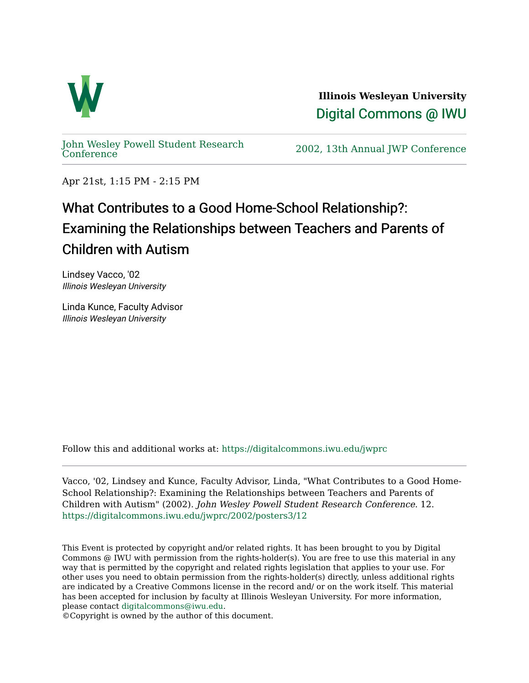

**Illinois Wesleyan University**  [Digital Commons @ IWU](https://digitalcommons.iwu.edu/) 

[John Wesley Powell Student Research](https://digitalcommons.iwu.edu/jwprc) 

2002, 13th Annual JWP [Conference](https://digitalcommons.iwu.edu/jwprc)

Apr 21st, 1:15 PM - 2:15 PM

## What Contributes to a Good Home-School Relationship?: Examining the Relationships between Teachers and Parents of Children with Autism

Lindsey Vacco, '02 Illinois Wesleyan University

Linda Kunce, Faculty Advisor Illinois Wesleyan University

Follow this and additional works at: [https://digitalcommons.iwu.edu/jwprc](https://digitalcommons.iwu.edu/jwprc?utm_source=digitalcommons.iwu.edu%2Fjwprc%2F2002%2Fposters3%2F12&utm_medium=PDF&utm_campaign=PDFCoverPages) 

Vacco, '02, Lindsey and Kunce, Faculty Advisor, Linda, "What Contributes to a Good Home-School Relationship?: Examining the Relationships between Teachers and Parents of Children with Autism" (2002). John Wesley Powell Student Research Conference. 12. [https://digitalcommons.iwu.edu/jwprc/2002/posters3/12](https://digitalcommons.iwu.edu/jwprc/2002/posters3/12?utm_source=digitalcommons.iwu.edu%2Fjwprc%2F2002%2Fposters3%2F12&utm_medium=PDF&utm_campaign=PDFCoverPages) 

This Event is protected by copyright and/or related rights. It has been brought to you by Digital Commons @ IWU with permission from the rights-holder(s). You are free to use this material in any way that is permitted by the copyright and related rights legislation that applies to your use. For other uses you need to obtain permission from the rights-holder(s) directly, unless additional rights are indicated by a Creative Commons license in the record and/ or on the work itself. This material has been accepted for inclusion by faculty at Illinois Wesleyan University. For more information, please contact [digitalcommons@iwu.edu.](mailto:digitalcommons@iwu.edu)

©Copyright is owned by the author of this document.